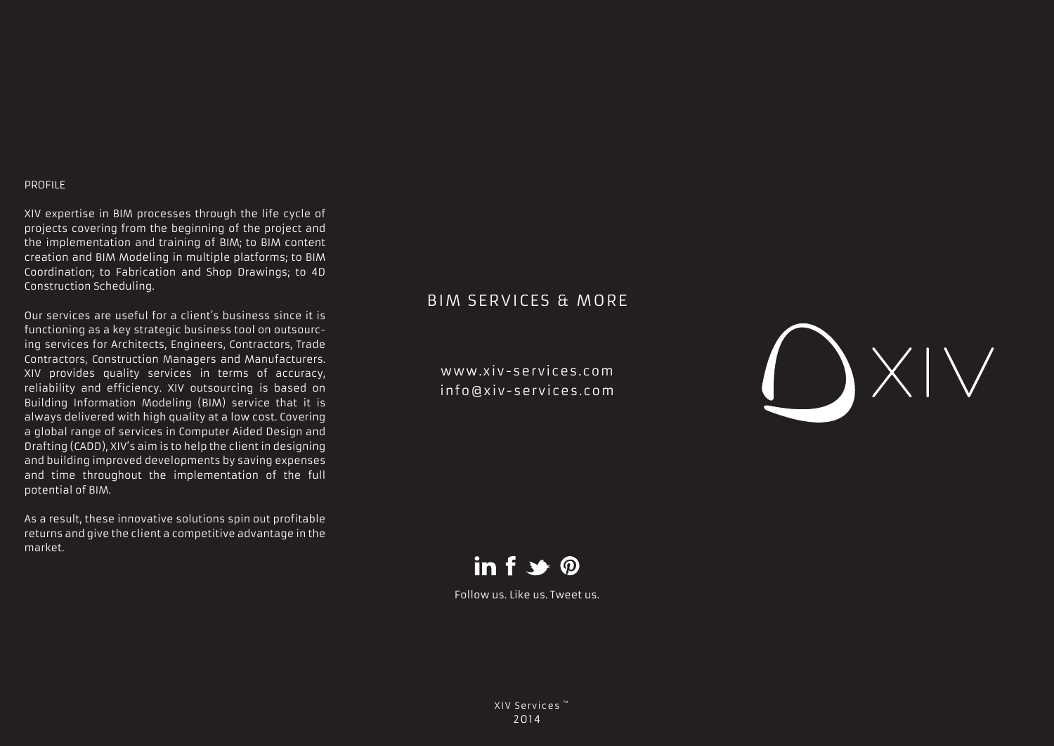## PROFILE

XIV expertise in BIM processes through the life cycle of projects covering from the beginning of the project and the implementation and training of BIM; to BIM content creation and BIM Modeling in multiple platforms; to BIM Coordination; to Fabrication and Shop Drawings; to 4D Construction Scheduling.

Our services are useful for a client's business since it is functioning as a key strategic business tool on outsourcing services for Architects, Engineers, Contractors, Trade Contractors, Construction Managers and Manufacturers. XIV provides quality services in terms of accuracy, reliability and efficiency. XIV outsourcing is based on Building Information Modeling (BIM) service that it is always delivered with high quality at a low cost. Covering a global range of services in Computer Aided Design and Drafting (CADD), XIV's aim is to help the client in designing and building improved developments by saving expenses and time throughout the implementation of the full potential of BIM.

As a result, these innovative solutions spin out profitable returns and give the client a competitive advantage in the market.

## BIM SERVICES & MORE

www.xiv-services.com info@xiv-services.com





Follow us. Like us. Tweet us.